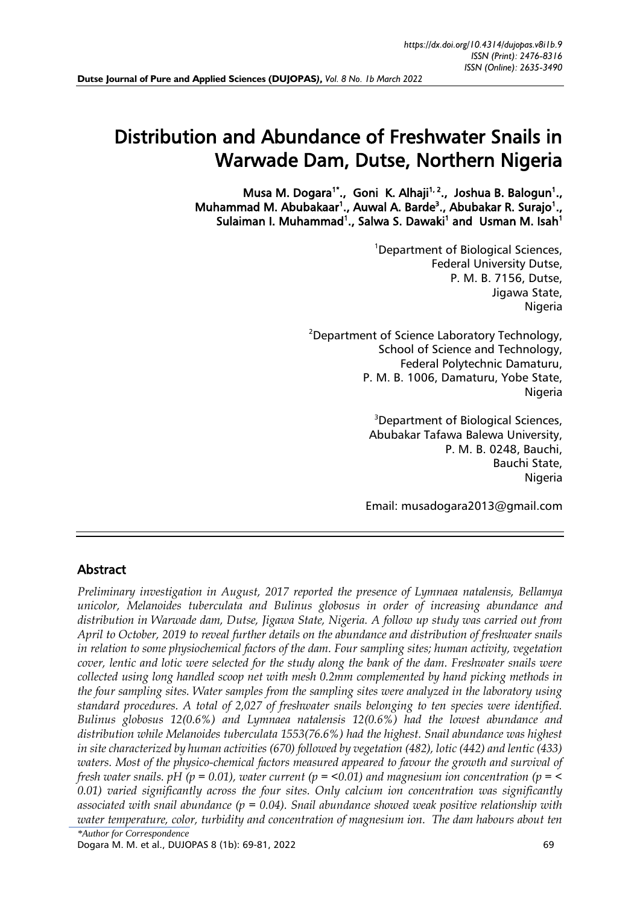# Distribution and Abundance of Freshwater Snails in Warwade Dam, Dutse, Northern Nigeria

Musa M. Dogara<sup>1\*</sup>., Goni K. Alhaji<sup>1, 2</sup>., Joshua B. Balogun<sup>1</sup>., Muhammad M. Abubakaar<sup>1</sup>., Auwal A. Barde<sup>3</sup>., Abubakar R. Surajo<sup>1</sup>., Sulaiman I. Muhammad<sup>1</sup>., Salwa S. Dawaki<sup>1</sup> and Usman M. Isah<sup>1</sup>

> <sup>1</sup>Department of Biological Sciences, Federal University Dutse, P. M. B. 7156, Dutse, Jigawa State, Nigeria

<sup>2</sup>Department of Science Laboratory Technology, School of Science and Technology, Federal Polytechnic Damaturu, P. M. B. 1006, Damaturu, Yobe State, Nigeria

> <sup>3</sup>Department of Biological Sciences, Abubakar Tafawa Balewa University, P. M. B. 0248, Bauchi, Bauchi State, Nigeria

Email: [musadogara2013@gmail.com](mailto:musadogara2013@gmail.com)

## Abstract

*\*Author for Correspondence Preliminary investigation in August, 2017 reported the presence of Lymnaea natalensis, Bellamya unicolor, Melanoides tuberculata and Bulinus globosus in order of increasing abundance and distribution in Warwade dam, Dutse, Jigawa State, Nigeria. A follow up study was carried out from April to October, 2019 to reveal further details on the abundance and distribution of freshwater snails in relation to some physiochemical factors of the dam. Four sampling sites; human activity, vegetation cover, lentic and lotic were selected for the study along the bank of the dam. Freshwater snails were collected using long handled scoop net with mesh 0.2mm complemented by hand picking methods in the four sampling sites. Water samples from the sampling sites were analyzed in the laboratory using standard procedures. A total of 2,027 of freshwater snails belonging to ten species were identified. Bulinus globosus 12(0.6%) and Lymnaea natalensis 12(0.6%) had the lowest abundance and distribution while Melanoides tuberculata 1553(76.6%) had the highest. Snail abundance was highest in site characterized by human activities (670) followed by vegetation (482), lotic (442) and lentic (433) waters. Most of the physico-chemical factors measured appeared to favour the growth and survival of fresh water snails. pH (p = 0.01), water current (p = <0.01) and magnesium ion concentration (p = < 0.01) varied significantly across the four sites. Only calcium ion concentration was significantly associated with snail abundance (p = 0.04). Snail abundance showed weak positive relationship with water temperature, color, turbidity and concentration of magnesium ion. The dam habours about ten* 

Dogara M. M. et al., DUJOPAS 8 (1b): 69-81, 2022 69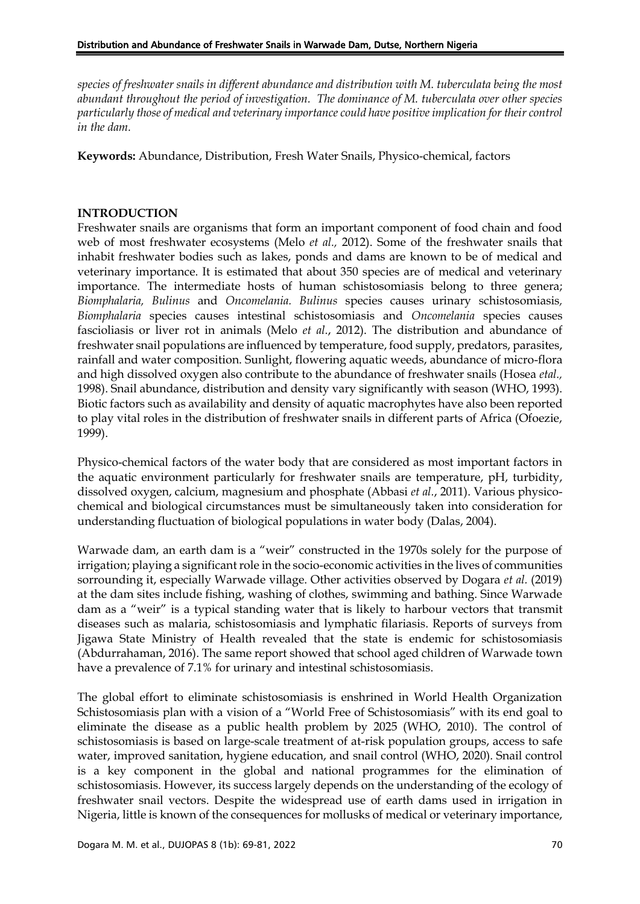*species of freshwater snails in different abundance and distribution with M. tuberculata being the most abundant throughout the period of investigation. The dominance of M. tuberculata over other species particularly those of medical and veterinary importance could have positive implication for their control in the dam.*

**Keywords:** Abundance, Distribution, Fresh Water Snails, Physico-chemical, factors

## **INTRODUCTION**

Freshwater snails are organisms that form an important component of food chain and food web of most freshwater ecosystems (Melo *et al.,* 2012). Some of the freshwater snails that inhabit freshwater bodies such as lakes, ponds and dams are known to be of medical and veterinary importance. It is estimated that about 350 species are of medical and veterinary importance. The intermediate hosts of human schistosomiasis belong to three genera; *Biomphalaria, Bulinus* and *Oncomelania. Bulinus* species causes urinary schistosomiasis*, Biomphalaria* species causes intestinal schistosomiasis and *Oncomelania* species causes fascioliasis or liver rot in animals (Melo *et al.*, 2012). The distribution and abundance of freshwater snail populations are influenced by temperature, food supply, predators, parasites, rainfall and water composition. Sunlight, flowering aquatic weeds, abundance of micro-flora and high dissolved oxygen also contribute to the abundance of freshwater snails (Hosea *etal.,* 1998). Snail abundance, distribution and density vary significantly with season (WHO, 1993). Biotic factors such as availability and density of aquatic macrophytes have also been reported to play vital roles in the distribution of freshwater snails in different parts of Africa (Ofoezie, 1999).

Physico-chemical factors of the water body that are considered as most important factors in the aquatic environment particularly for freshwater snails are temperature, pH, turbidity, dissolved oxygen, calcium, magnesium and phosphate (Abbasi *et al.*, 2011). Various physicochemical and biological circumstances must be simultaneously taken into consideration for understanding fluctuation of biological populations in water body (Dalas, 2004).

Warwade dam, an earth dam is a "weir" constructed in the 1970s solely for the purpose of irrigation; playing a significant role in the socio-economic activities in the lives of communities sorrounding it, especially Warwade village. Other activities observed by Dogara *et al.* (2019) at the dam sites include fishing, washing of clothes, swimming and bathing. Since Warwade dam as a "weir" is a typical standing water that is likely to harbour vectors that transmit diseases such as malaria, schistosomiasis and lymphatic filariasis. Reports of surveys from Jigawa State Ministry of Health revealed that the state is endemic for schistosomiasis (Abdurrahaman, 2016). The same report showed that school aged children of Warwade town have a prevalence of 7.1% for urinary and intestinal schistosomiasis.

The global effort to eliminate schistosomiasis is enshrined in World Health Organization Schistosomiasis plan with a vision of a "World Free of Schistosomiasis" with its end goal to eliminate the disease as a public health problem by 2025 (WHO, 2010). The control of schistosomiasis is based on large-scale treatment of at-risk population groups, access to safe water, improved sanitation, hygiene education, and snail control (WHO, 2020). Snail control is a key component in the global and national programmes for the elimination of schistosomiasis. However, its success largely depends on the understanding of the ecology of freshwater snail vectors. Despite the widespread use of earth dams used in irrigation in Nigeria, little is known of the consequences for mollusks of medical or veterinary importance,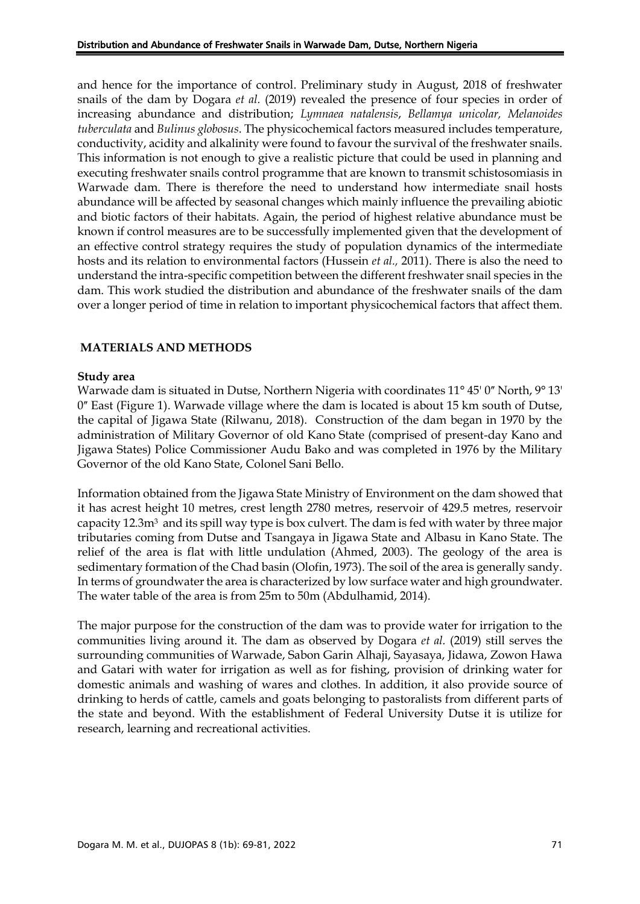and hence for the importance of control. Preliminary study in August, 2018 of freshwater snails of the dam by Dogara *et al.* (2019) revealed the presence of four species in order of increasing abundance and distribution; *Lymnaea natalensis*, *Bellamya unicolar, Melanoides tuberculata* and *Bulinus globosus*. The physicochemical factors measured includes temperature, conductivity, acidity and alkalinity were found to favour the survival of the freshwater snails. This information is not enough to give a realistic picture that could be used in planning and executing freshwater snails control programme that are known to transmit schistosomiasis in Warwade dam. There is therefore the need to understand how intermediate snail hosts abundance will be affected by seasonal changes which mainly influence the prevailing abiotic and biotic factors of their habitats. Again, the period of highest relative abundance must be known if control measures are to be successfully implemented given that the development of an effective control strategy requires the study of population dynamics of the intermediate hosts and its relation to environmental factors (Hussein *et al.,* 2011). There is also the need to understand the intra-specific competition between the different freshwater snail species in the dam. This work studied the distribution and abundance of the freshwater snails of the dam over a longer period of time in relation to important physicochemical factors that affect them.

### **MATERIALS AND METHODS**

#### **Study area**

Warwade dam is situated in Dutse, Northern Nigeria with coordinates  $11^{\circ}$  45' 0" North, 9° 13' 0" East (Figure 1). Warwade village where the dam is located is about 15 km south of Dutse, the capital of Jigawa State (Rilwanu, 2018). Construction of the dam began in 1970 by the administration of Military Governor of old Kano State (comprised of present-day Kano and Jigawa States) Police Commissioner Audu Bako and was completed in 1976 by the Military Governor of the old Kano State, Colonel Sani Bello.

Information obtained from the Jigawa State Ministry of Environment on the dam showed that it has acrest height 10 metres, crest length 2780 metres, reservoir of 429.5 metres, reservoir capacity 12.3m3 and its spill way type is box culvert. The dam is fed with water by three major tributaries coming from Dutse and Tsangaya in Jigawa State and Albasu in Kano State. The relief of the area is flat with little undulation (Ahmed, 2003). The geology of the area is sedimentary formation of the Chad basin (Olofin, 1973). The soil of the area is generally sandy. In terms of groundwater the area is characterized by low surface water and high groundwater. The water table of the area is from 25m to 50m (Abdulhamid, 2014).

The major purpose for the construction of the dam was to provide water for irrigation to the communities living around it. The dam as observed by Dogara *et al.* (2019) still serves the surrounding communities of Warwade, Sabon Garin Alhaji, Sayasaya, Jidawa, Zowon Hawa and Gatari with water for irrigation as well as for fishing, provision of drinking water for domestic animals and washing of wares and clothes. In addition, it also provide source of drinking to herds of cattle, camels and goats belonging to pastoralists from different parts of the state and beyond. With the establishment of Federal University Dutse it is utilize for research, learning and recreational activities.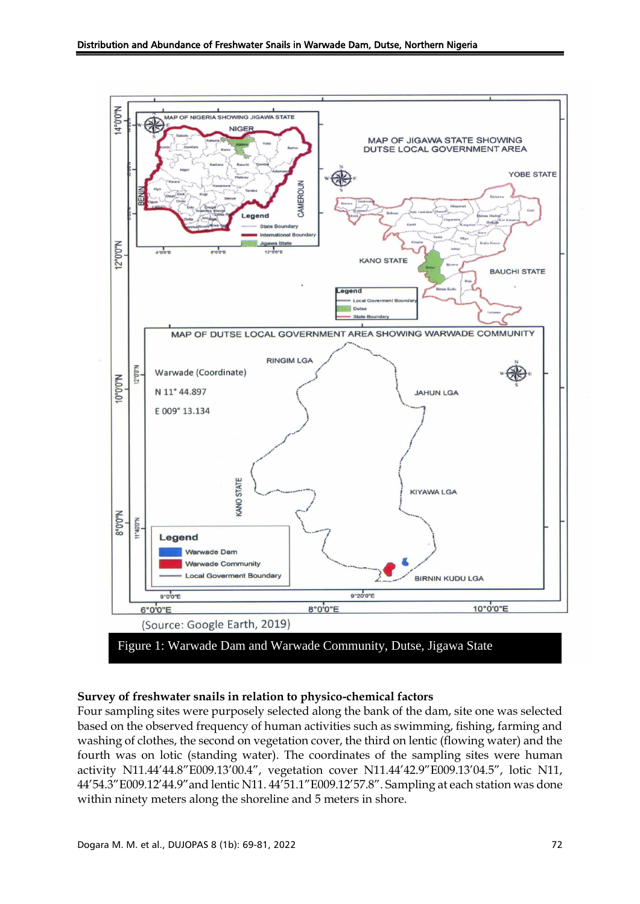

#### **Survey of freshwater snails in relation to physico-chemical factors**

Four sampling sites were purposely selected along the bank of the dam, site one was selected based on the observed frequency of human activities such as swimming, fishing, farming and washing of clothes, the second on vegetation cover, the third on lentic (flowing water) and the fourth was on lotic (standing water). The coordinates of the sampling sites were human activity N11.44'44.8"E009.13'00.4", vegetation cover N11.44'42.9"E009.13'04.5", lotic N11, 44'54.3"E009.12'44.9"and lentic N11. 44'51.1"E009.12'57.8". Sampling at each station was done within ninety meters along the shoreline and 5 meters in shore.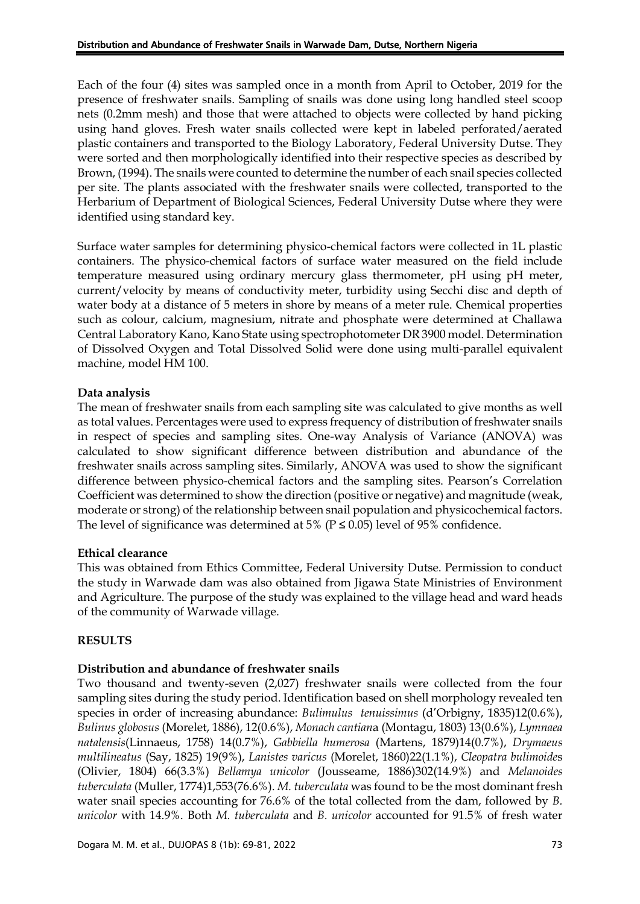Each of the four (4) sites was sampled once in a month from April to October, 2019 for the presence of freshwater snails. Sampling of snails was done using long handled steel scoop nets (0.2mm mesh) and those that were attached to objects were collected by hand picking using hand gloves. Fresh water snails collected were kept in labeled perforated/aerated plastic containers and transported to the Biology Laboratory, Federal University Dutse. They were sorted and then morphologically identified into their respective species as described by Brown, (1994). The snails were counted to determine the number of each snail species collected per site. The plants associated with the freshwater snails were collected, transported to the Herbarium of Department of Biological Sciences, Federal University Dutse where they were identified using standard key.

Surface water samples for determining physico-chemical factors were collected in 1L plastic containers. The physico-chemical factors of surface water measured on the field include temperature measured using ordinary mercury glass thermometer, pH using pH meter, current/velocity by means of conductivity meter, turbidity using Secchi disc and depth of water body at a distance of 5 meters in shore by means of a meter rule. Chemical properties such as colour, calcium, magnesium, nitrate and phosphate were determined at Challawa Central Laboratory Kano, Kano State using spectrophotometer DR 3900 model. Determination of Dissolved Oxygen and Total Dissolved Solid were done using multi-parallel equivalent machine, model HM 100.

## **Data analysis**

The mean of freshwater snails from each sampling site was calculated to give months as well as total values. Percentages were used to express frequency of distribution of freshwater snails in respect of species and sampling sites. One-way Analysis of Variance (ANOVA) was calculated to show significant difference between distribution and abundance of the freshwater snails across sampling sites. Similarly, ANOVA was used to show the significant difference between physico-chemical factors and the sampling sites. Pearson's Correlation Coefficient was determined to show the direction (positive or negative) and magnitude (weak, moderate or strong) of the relationship between snail population and physicochemical factors. The level of significance was determined at 5% ( $P \le 0.05$ ) level of 95% confidence.

### **Ethical clearance**

This was obtained from Ethics Committee, Federal University Dutse. Permission to conduct the study in Warwade dam was also obtained from Jigawa State Ministries of Environment and Agriculture. The purpose of the study was explained to the village head and ward heads of the community of Warwade village.

### **RESULTS**

### **Distribution and abundance of freshwater snails**

Two thousand and twenty-seven (2,027) freshwater snails were collected from the four sampling sites during the study period. Identification based on shell morphology revealed ten species in order of increasing abundance: *Bulimulus tenuissimus* (d'Orbigny, 1835)12(0.6%), *Bulinus globosus* (Morelet, 1886), 12(0.6%), *Monach cantian*a (Montagu, 1803) 13(0.6%), *Lymnaea natalensis*(Linnaeus, 1758) 14(0.7%), *Gabbiella humerosa* (Martens, 1879)14(0.7%), *Drymaeus multilineatus* (Say, 1825) 19(9%), *Lanistes varicus* (Morelet, 1860)22(1.1%), *Cleopatra bulimoide*s (Olivier, 1804) 66(3.3%) *Bellamya unicolor* (Jousseame, 1886)302(14.9%) and *Melanoides tuberculata* (Muller, 1774)1,553(76.6%). *M. tuberculata* was found to be the most dominant fresh water snail species accounting for 76.6% of the total collected from the dam, followed by *B. unicolor* with 14.9%. Both *M. tuberculata* and *B. unicolor* accounted for 91.5% of fresh water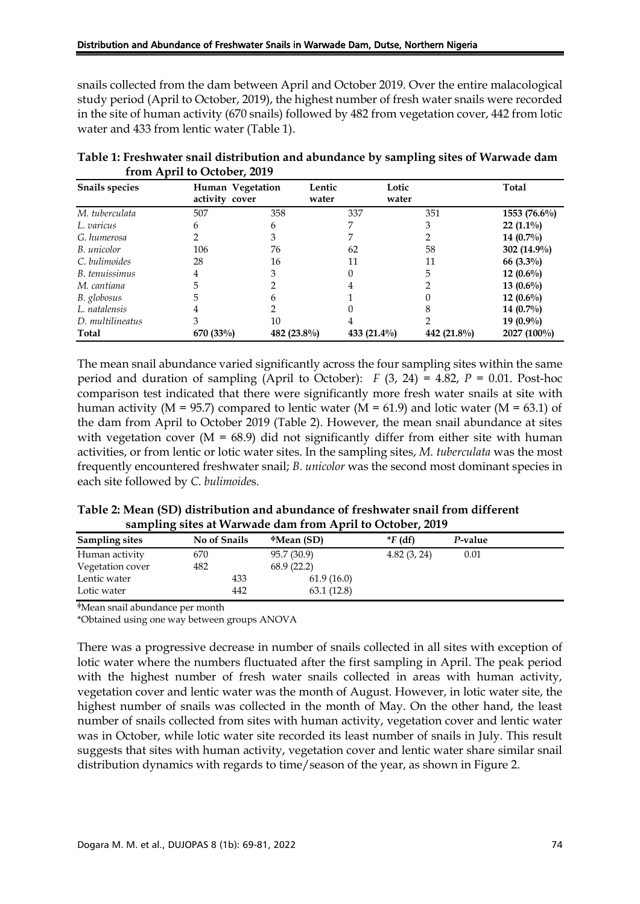snails collected from the dam between April and October 2019. Over the entire malacological study period (April to October, 2019), the highest number of fresh water snails were recorded in the site of human activity (670 snails) followed by 482 from vegetation cover, 442 from lotic water and 433 from lentic water (Table 1).

| <b>Snails species</b> | Human Vegetation<br>activity cover |                | Lentic<br>water | Lotic<br>water | <b>Total</b>   |
|-----------------------|------------------------------------|----------------|-----------------|----------------|----------------|
| M. tuberculata        | 507                                | 358            | 337             | 351            | $1553(76.6\%)$ |
| L. varicus            | 6                                  | 6              |                 | 3              | $22(1.1\%)$    |
| G. humerosa           |                                    | 3              |                 |                | 14 $(0.7\%)$   |
| B. unicolor           | 106                                | 76             | 62              | 58             | 302 (14.9%)    |
| C. bulimoides         | 28                                 | 16             | 11              | 11             | 66 $(3.3\%)$   |
| B. tenuissimus        | 4                                  | 3              | 0               | 5              | 12 $(0.6\%)$   |
| M. cantiana           |                                    |                |                 |                | 13 $(0.6\%)$   |
| B. globosus           |                                    | n              |                 |                | 12 $(0.6\%)$   |
| L. natalensis         | 4                                  |                |                 |                | 14 $(0.7\%)$   |
| D. multilineatus      |                                    | 10             |                 |                | 19 $(0.9\%)$   |
| Total                 | $670(33\%)$                        | 482 $(23.8\%)$ | 433 $(21.4\%)$  | 442 $(21.8\%)$ | $2027(100\%)$  |

**Table 1: Freshwater snail distribution and abundance by sampling sites of Warwade dam from April to October, 2019**

The mean snail abundance varied significantly across the four sampling sites within the same period and duration of sampling (April to October):  $F(3, 24) = 4.82$ ,  $P = 0.01$ . Post-hoc comparison test indicated that there were significantly more fresh water snails at site with human activity ( $M = 95.7$ ) compared to lentic water ( $M = 61.9$ ) and lotic water ( $M = 63.1$ ) of the dam from April to October 2019 (Table 2). However, the mean snail abundance at sites with vegetation cover  $(M = 68.9)$  did not significantly differ from either site with human activities, or from lentic or lotic water sites. In the sampling sites, *M. tuberculata* was the most frequently encountered freshwater snail; *B. unicolor* was the second most dominant species in each site followed by *C. bulimoide*s.

| Table 2: Mean (SD) distribution and abundance of freshwater snail from different |  |
|----------------------------------------------------------------------------------|--|
| sampling sites at Warwade dam from April to October, 2019                        |  |

| <b>Sampling sites</b> | No of Snails | $^{\circ}$ Mean (SD) | $*F$ (df)   | P-value |  |
|-----------------------|--------------|----------------------|-------------|---------|--|
| Human activity        | 670          | 95.7 (30.9)          | 4.82(3, 24) | 0.01    |  |
| Vegetation cover      | 482          | 68.9(22.2)           |             |         |  |
| Lentic water          | 433          | 61.9(16.0)           |             |         |  |
| Lotic water           | 442          | 63.1(12.8)           |             |         |  |

<sup>ɸ</sup>Mean snail abundance per month

\*Obtained using one way between groups ANOVA

There was a progressive decrease in number of snails collected in all sites with exception of lotic water where the numbers fluctuated after the first sampling in April. The peak period with the highest number of fresh water snails collected in areas with human activity, vegetation cover and lentic water was the month of August. However, in lotic water site, the highest number of snails was collected in the month of May. On the other hand, the least number of snails collected from sites with human activity, vegetation cover and lentic water was in October, while lotic water site recorded its least number of snails in July. This result suggests that sites with human activity, vegetation cover and lentic water share similar snail distribution dynamics with regards to time/season of the year, as shown in Figure 2.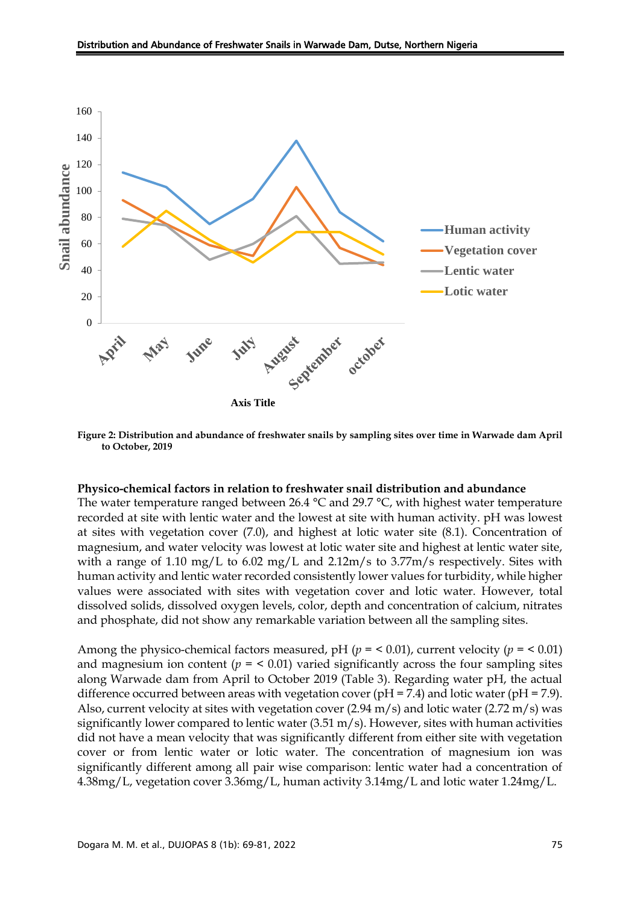

**Figure 2: Distribution and abundance of freshwater snails by sampling sites over time in Warwade dam April to October, 2019**

#### **Physico-chemical factors in relation to freshwater snail distribution and abundance**

The water temperature ranged between 26.4  $\degree$ C and 29.7  $\degree$ C, with highest water temperature recorded at site with lentic water and the lowest at site with human activity. pH was lowest at sites with vegetation cover (7.0), and highest at lotic water site (8.1). Concentration of magnesium, and water velocity was lowest at lotic water site and highest at lentic water site, with a range of 1.10 mg/L to 6.02 mg/L and 2.12m/s to 3.77m/s respectively. Sites with human activity and lentic water recorded consistently lower values for turbidity, while higher values were associated with sites with vegetation cover and lotic water. However, total dissolved solids, dissolved oxygen levels, color, depth and concentration of calcium, nitrates and phosphate, did not show any remarkable variation between all the sampling sites.

Among the physico-chemical factors measured, pH ( $p = 0.01$ ), current velocity ( $p = 0.01$ ) and magnesium ion content  $(p = 0.01)$  varied significantly across the four sampling sites along Warwade dam from April to October 2019 (Table 3). Regarding water pH, the actual difference occurred between areas with vegetation cover ( $pH = 7.4$ ) and lotic water ( $pH = 7.9$ ). Also, current velocity at sites with vegetation cover (2.94 m/s) and lotic water (2.72 m/s) was significantly lower compared to lentic water (3.51 m/s). However, sites with human activities did not have a mean velocity that was significantly different from either site with vegetation cover or from lentic water or lotic water. The concentration of magnesium ion was significantly different among all pair wise comparison: lentic water had a concentration of 4.38mg/L, vegetation cover 3.36mg/L, human activity 3.14mg/L and lotic water 1.24mg/L.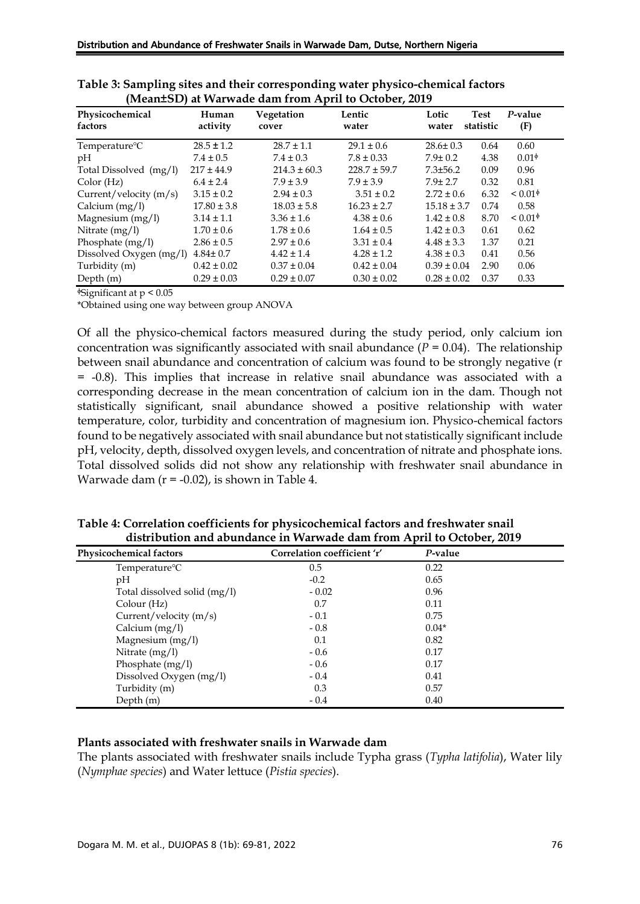| Physicochemical<br>factors | Human<br>activity | Vegetation<br>cover | Lentic<br>water  | Lotic<br>water  | <b>Test</b><br>statistic | P-value<br>(F)      |
|----------------------------|-------------------|---------------------|------------------|-----------------|--------------------------|---------------------|
| Temperature <sup>o</sup> C | $28.5 \pm 1.2$    | $28.7 \pm 1.1$      | $29.1 \pm 0.6$   | $28.6 \pm 0.3$  | 0.64                     | 0.60                |
| pH                         | $7.4 \pm 0.5$     | $7.4 \pm 0.3$       | $7.8 \pm 0.33$   | $7.9 \pm 0.2$   | 4.38                     | $0.01\textdegree$   |
| Total Dissolved (mg/l)     | $217 \pm 44.9$    | $214.3 \pm 60.3$    | $228.7 \pm 59.7$ | $7.3 \pm 56.2$  | 0.09                     | 0.96                |
| Color(Hz)                  | $6.4 \pm 2.4$     | $7.9 \pm 3.9$       | $7.9 \pm 3.9$    | $7.9 \pm 2.7$   | 0.32                     | 0.81                |
| Current/velocity $(m/s)$   | $3.15 \pm 0.2$    | $2.94 \pm 0.3$      | $3.51 \pm 0.2$   | $2.72 \pm 0.6$  | 6.32                     | ${}_{0.01\text{A}}$ |
| Calcium (mg/l)             | $17.80 \pm 3.8$   | $18.03 \pm 5.8$     | $16.23 \pm 2.7$  | $15.18 \pm 3.7$ | 0.74                     | 0.58                |
| Magnesium (mg/l)           | $3.14 \pm 1.1$    | $3.36 \pm 1.6$      | $4.38 \pm 0.6$   | $1.42 \pm 0.8$  | 8.70                     | ${}_{0.01\text{A}}$ |
| Nitrate $(mg/l)$           | $1.70 \pm 0.6$    | $1.78 \pm 0.6$      | $1.64 \pm 0.5$   | $1.42 \pm 0.3$  | 0.61                     | 0.62                |
| Phosphate (mg/l)           | $2.86 \pm 0.5$    | $2.97 \pm 0.6$      | $3.31 \pm 0.4$   | $4.48 \pm 3.3$  | 1.37                     | 0.21                |
| Dissolved Oxygen (mg/l)    | $4.84 \pm 0.7$    | $4.42 \pm 1.4$      | $4.28 \pm 1.2$   | $4.38 \pm 0.3$  | 0.41                     | 0.56                |
| Turbidity (m)              | $0.42 \pm 0.02$   | $0.37 \pm 0.04$     | $0.42 \pm 0.04$  | $0.39 \pm 0.04$ | 2.90                     | 0.06                |
| Depth (m)                  | $0.29 \pm 0.03$   | $0.29 \pm 0.07$     | $0.30 \pm 0.02$  | $0.28 \pm 0.02$ | 0.37                     | 0.33                |

|                                                      | Table 3: Sampling sites and their corresponding water physico-chemical factors |
|------------------------------------------------------|--------------------------------------------------------------------------------|
| (Mean±SD) at Warwade dam from April to October, 2019 |                                                                                |

 $\frac{1}{2}$ Significant at p < 0.05

\*Obtained using one way between group ANOVA

Of all the physico-chemical factors measured during the study period, only calcium ion concentration was significantly associated with snail abundance  $(P = 0.04)$ . The relationship between snail abundance and concentration of calcium was found to be strongly negative (r = -0.8). This implies that increase in relative snail abundance was associated with a corresponding decrease in the mean concentration of calcium ion in the dam. Though not statistically significant, snail abundance showed a positive relationship with water temperature, color, turbidity and concentration of magnesium ion. Physico-chemical factors found to be negatively associated with snail abundance but not statistically significant include pH, velocity, depth, dissolved oxygen levels, and concentration of nitrate and phosphate ions. Total dissolved solids did not show any relationship with freshwater snail abundance in Warwade dam  $(r = -0.02)$ , is shown in Table 4.

| Table 4: Correlation coefficients for physicochemical factors and freshwater snail |  |
|------------------------------------------------------------------------------------|--|
| distribution and abundance in Warwade dam from April to October, 2019              |  |

| Physicochemical factors      | Correlation coefficient 'r' | P-value |
|------------------------------|-----------------------------|---------|
| Temperature <sup>o</sup> C   | 0.5                         | 0.22    |
| pH                           | $-0.2$                      | 0.65    |
| Total dissolved solid (mg/l) | $-0.02$                     | 0.96    |
| Colour (Hz)                  | 0.7                         | 0.11    |
| Current/velocity $(m/s)$     | $-0.1$                      | 0.75    |
| Calcium (mg/l)               | $-0.8$                      | $0.04*$ |
| Magnesium (mg/l)             | 0.1                         | 0.82    |
| Nitrate $(mg/l)$             | $-0.6$                      | 0.17    |
| Phosphate (mg/l)             | $-0.6$                      | 0.17    |
| Dissolved Oxygen (mg/l)      | $-0.4$                      | 0.41    |
| Turbidity (m)                | 0.3                         | 0.57    |
| Depth $(m)$                  | $-0.4$                      | 0.40    |

#### **Plants associated with freshwater snails in Warwade dam**

The plants associated with freshwater snails include Typha grass (*Typha latifolia*), Water lily (*Nymphae species*) and Water lettuce (*Pistia species*).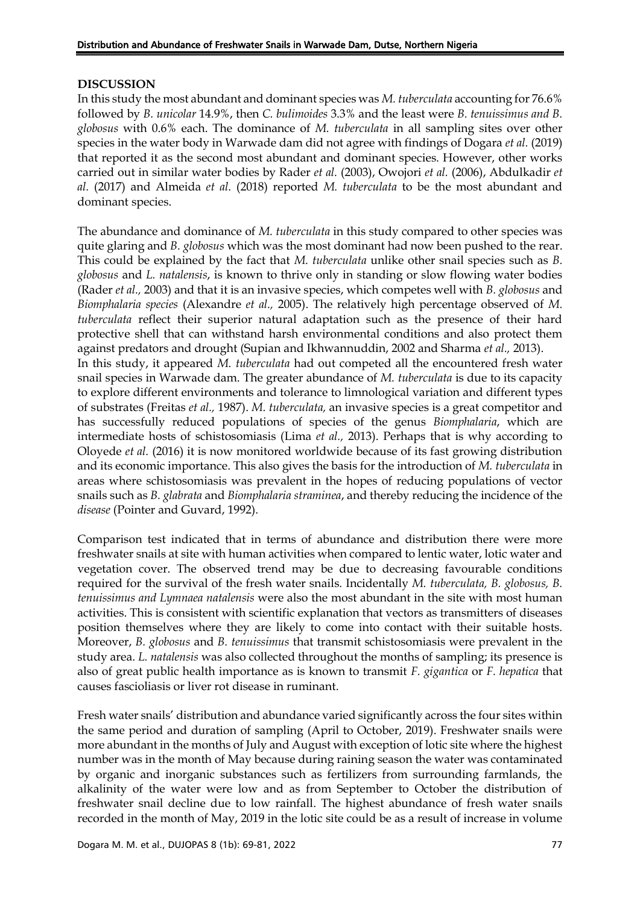#### **DISCUSSION**

In this study the most abundant and dominant species was *M. tuberculata* accounting for 76.6% followed by *B. unicolar* 14.9%, then *C. bulimoides* 3.3% and the least were *B. tenuissimus and B. globosus* with 0.6% each. The dominance of *M. tuberculata* in all sampling sites over other species in the water body in Warwade dam did not agree with findings of Dogara *et al.* (2019) that reported it as the second most abundant and dominant species. However, other works carried out in similar water bodies by Rader *et al.* (2003), Owojori *et al.* (2006), Abdulkadir *et al.* (2017) and Almeida *et al.* (2018) reported *M. tuberculata* to be the most abundant and dominant species.

The abundance and dominance of *M. tuberculata* in this study compared to other species was quite glaring and *B. globosus* which was the most dominant had now been pushed to the rear. This could be explained by the fact that *M. tuberculata* unlike other snail species such as *B. globosus* and *L. natalensis*, is known to thrive only in standing or slow flowing water bodies (Rader *et al.,* 2003) and that it is an invasive species, which competes well with *B. globosus* and *Biomphalaria species* (Alexandre *et al.,* 2005). The relatively high percentage observed of *M. tuberculata* reflect their superior natural adaptation such as the presence of their hard protective shell that can withstand harsh environmental conditions and also protect them against predators and drought (Supian and Ikhwannuddin, 2002 and Sharma *et al.,* 2013). In this study, it appeared *M. tuberculata* had out competed all the encountered fresh water snail species in Warwade dam. The greater abundance of *M. tuberculata* is due to its capacity to explore different environments and tolerance to limnological variation and different types of substrates (Freitas *et al.,* 1987). *M. tuberculata,* an invasive species is a great competitor and has successfully reduced populations of species of the genus *Biomphalaria*, which are intermediate hosts of schistosomiasis (Lima *et al.,* 2013). Perhaps that is why according to Oloyede *et al.* (2016) it is now monitored worldwide because of its fast growing distribution and its economic importance. This also gives the basis for the introduction of *M. tuberculata* in areas where schistosomiasis was prevalent in the hopes of reducing populations of vector snails such as *B. glabrata* and *Biomphalaria straminea*, and thereby reducing the incidence of the *disease* (Pointer and Guvard, 1992).

Comparison test indicated that in terms of abundance and distribution there were more freshwater snails at site with human activities when compared to lentic water, lotic water and vegetation cover. The observed trend may be due to decreasing favourable conditions required for the survival of the fresh water snails. Incidentally *M. tuberculata, B. globosus, B. tenuissimus and Lymnaea natalensis* were also the most abundant in the site with most human activities. This is consistent with scientific explanation that vectors as transmitters of diseases position themselves where they are likely to come into contact with their suitable hosts. Moreover, *B. globosus* and *B. tenuissimus* that transmit schistosomiasis were prevalent in the study area. *L. natalensis* was also collected throughout the months of sampling; its presence is also of great public health importance as is known to transmit *F. gigantica* or *F. hepatica* that causes fascioliasis or liver rot disease in ruminant.

Fresh water snails' distribution and abundance varied significantly across the four sites within the same period and duration of sampling (April to October, 2019). Freshwater snails were more abundant in the months of July and August with exception of lotic site where the highest number was in the month of May because during raining season the water was contaminated by organic and inorganic substances such as fertilizers from surrounding farmlands, the alkalinity of the water were low and as from September to October the distribution of freshwater snail decline due to low rainfall. The highest abundance of fresh water snails recorded in the month of May, 2019 in the lotic site could be as a result of increase in volume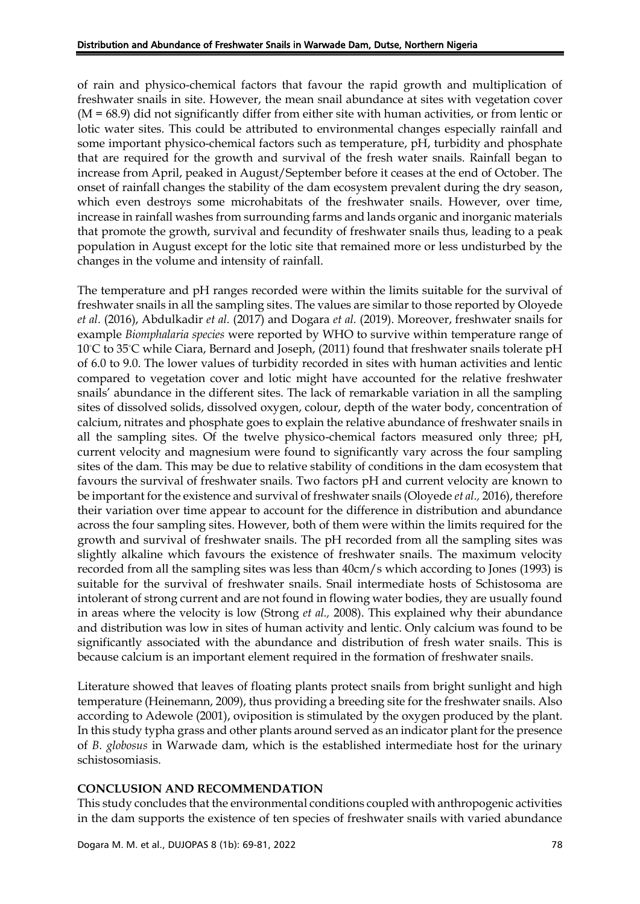of rain and physico-chemical factors that favour the rapid growth and multiplication of freshwater snails in site. However, the mean snail abundance at sites with vegetation cover  $(M = 68.9)$  did not significantly differ from either site with human activities, or from lentic or lotic water sites. This could be attributed to environmental changes especially rainfall and some important physico-chemical factors such as temperature, pH, turbidity and phosphate that are required for the growth and survival of the fresh water snails. Rainfall began to increase from April, peaked in August/September before it ceases at the end of October. The onset of rainfall changes the stability of the dam ecosystem prevalent during the dry season, which even destroys some microhabitats of the freshwater snails. However, over time, increase in rainfall washes from surrounding farms and lands organic and inorganic materials that promote the growth, survival and fecundity of freshwater snails thus, leading to a peak population in August except for the lotic site that remained more or less undisturbed by the changes in the volume and intensity of rainfall.

The temperature and pH ranges recorded were within the limits suitable for the survival of freshwater snails in all the sampling sites. The values are similar to those reported by Oloyede *et al.* (2016), Abdulkadir *et al.* (2017) and Dogara *et al.* (2019). Moreover, freshwater snails for example *Biomphalaria species* were reported by WHO to survive within temperature range of 10°C to 35°C while Ciara, Bernard and Joseph, (2011) found that freshwater snails tolerate pH of 6.0 to 9.0. The lower values of turbidity recorded in sites with human activities and lentic compared to vegetation cover and lotic might have accounted for the relative freshwater snails' abundance in the different sites. The lack of remarkable variation in all the sampling sites of dissolved solids, dissolved oxygen, colour, depth of the water body, concentration of calcium, nitrates and phosphate goes to explain the relative abundance of freshwater snails in all the sampling sites. Of the twelve physico-chemical factors measured only three; pH, current velocity and magnesium were found to significantly vary across the four sampling sites of the dam. This may be due to relative stability of conditions in the dam ecosystem that favours the survival of freshwater snails. Two factors pH and current velocity are known to be important for the existence and survival of freshwater snails (Oloyede *et al.,* 2016), therefore their variation over time appear to account for the difference in distribution and abundance across the four sampling sites. However, both of them were within the limits required for the growth and survival of freshwater snails. The pH recorded from all the sampling sites was slightly alkaline which favours the existence of freshwater snails. The maximum velocity recorded from all the sampling sites was less than 40cm/s which according to Jones (1993) is suitable for the survival of freshwater snails. Snail intermediate hosts of Schistosoma are intolerant of strong current and are not found in flowing water bodies, they are usually found in areas where the velocity is low (Strong *et al.,* 2008). This explained why their abundance and distribution was low in sites of human activity and lentic. Only calcium was found to be significantly associated with the abundance and distribution of fresh water snails. This is because calcium is an important element required in the formation of freshwater snails.

Literature showed that leaves of floating plants protect snails from bright sunlight and high temperature (Heinemann, 2009), thus providing a breeding site for the freshwater snails. Also according to Adewole (2001), oviposition is stimulated by the oxygen produced by the plant. In this study typha grass and other plants around served as an indicator plant for the presence of *B. globosus* in Warwade dam, which is the established intermediate host for the urinary schistosomiasis.

### **CONCLUSION AND RECOMMENDATION**

This study concludes that the environmental conditions coupled with anthropogenic activities in the dam supports the existence of ten species of freshwater snails with varied abundance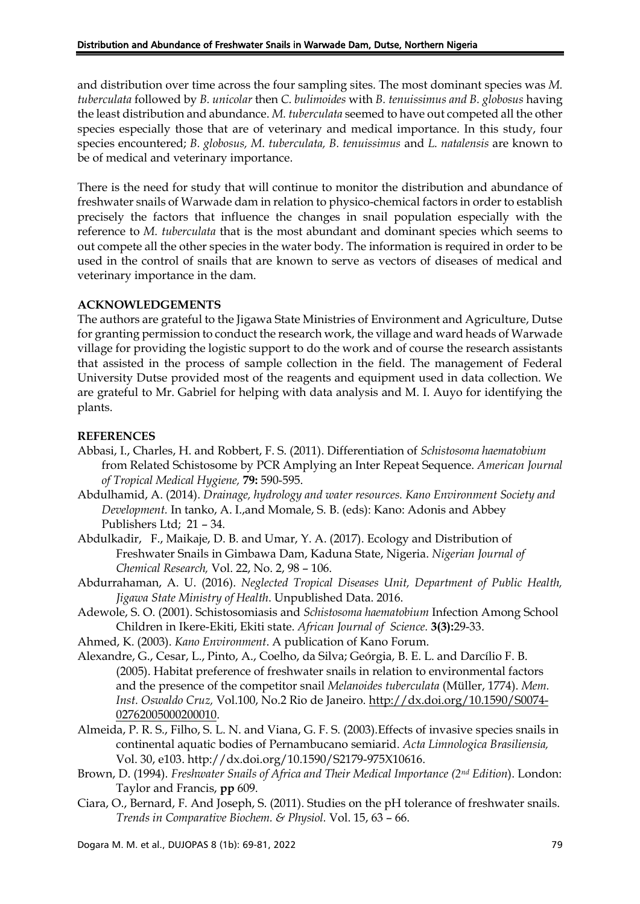and distribution over time across the four sampling sites. The most dominant species was *M. tuberculata* followed by *B. unicolar* then *C. bulimoides* with *B. tenuissimus and B. globosus* having the least distribution and abundance. *M. tuberculata* seemed to have out competed all the other species especially those that are of veterinary and medical importance. In this study, four species encountered; *B. globosus, M. tuberculata, B. tenuissimus* and *L. natalensis* are known to be of medical and veterinary importance.

There is the need for study that will continue to monitor the distribution and abundance of freshwater snails of Warwade dam in relation to physico-chemical factors in order to establish precisely the factors that influence the changes in snail population especially with the reference to *M. tuberculata* that is the most abundant and dominant species which seems to out compete all the other species in the water body. The information is required in order to be used in the control of snails that are known to serve as vectors of diseases of medical and veterinary importance in the dam.

## **ACKNOWLEDGEMENTS**

The authors are grateful to the Jigawa State Ministries of Environment and Agriculture, Dutse for granting permission to conduct the research work, the village and ward heads of Warwade village for providing the logistic support to do the work and of course the research assistants that assisted in the process of sample collection in the field. The management of Federal University Dutse provided most of the reagents and equipment used in data collection. We are grateful to Mr. Gabriel for helping with data analysis and M. I. Auyo for identifying the plants.

## **REFERENCES**

- Abbasi, I., Charles, H. and Robbert, F. S. (2011). Differentiation of *Schistosoma haematobium* from Related Schistosome by PCR Amplying an Inter Repeat Sequence. *American Journal of Tropical Medical Hygiene,* **79:** 590-595.
- Abdulhamid, A. (2014). *Drainage, hydrology and water resources. Kano Environment Society and Development.* In tanko, A. I.,and Momale, S. B. (eds): Kano: Adonis and Abbey Publishers Ltd; 21 – 34.
- Abdulkadir, F., Maikaje, D. B. and Umar, Y. A. (2017). Ecology and Distribution of Freshwater Snails in Gimbawa Dam, Kaduna State, Nigeria. *Nigerian Journal of Chemical Research,* Vol. 22, No. 2, 98 – 106.
- Abdurrahaman, A. U. (2016). *Neglected Tropical Diseases Unit, Department of Public Health, Jigawa State Ministry of Health*. Unpublished Data. 2016.
- Adewole, S. O. (2001). Schistosomiasis and *Schistosoma haematobium* Infection Among School Children in Ikere-Ekiti, Ekiti state. *African Journal of Science.* **3(3):**29-33.
- Ahmed, K. (2003). *Kano Environment*. A publication of Kano Forum.
- Alexandre, G., Cesar, L., Pinto, A., Coelho, da Silva; Geórgia, B. E. L. and Darcílio F. B. (2005). Habitat preference of freshwater snails in relation to environmental factors and the presence of the competitor snail *Melanoides tuberculata* (Müller, 1774). *Mem. Inst. Oswaldo Cruz,* Vol.100, No.2 Rio de Janeiro. [http://dx.doi.org/10.1590/S0074-](http://dx.doi.org/10.1590/S0074-%2002762005000200010) [02762005000200010.](http://dx.doi.org/10.1590/S0074-%2002762005000200010)
- Almeida, P. R. S., Filho, S. L. N. and Viana, G. F. S. (2003).Effects of invasive species snails in continental aquatic bodies of Pernambucano semiarid. *Acta Limnologica Brasiliensia,* Vol. 30, e103. http://dx.doi.org/10.1590/S2179-975X10616.
- Brown, D. (1994). *Freshwater Snails of Africa and Their Medical Importance (2nd Edition*). London: Taylor and Francis, **pp** 609.
- Ciara, O., Bernard, F. And Joseph, S. (2011). Studies on the pH tolerance of freshwater snails. *Trends in Comparative Biochem. & Physiol.* Vol. 15, 63 – 66.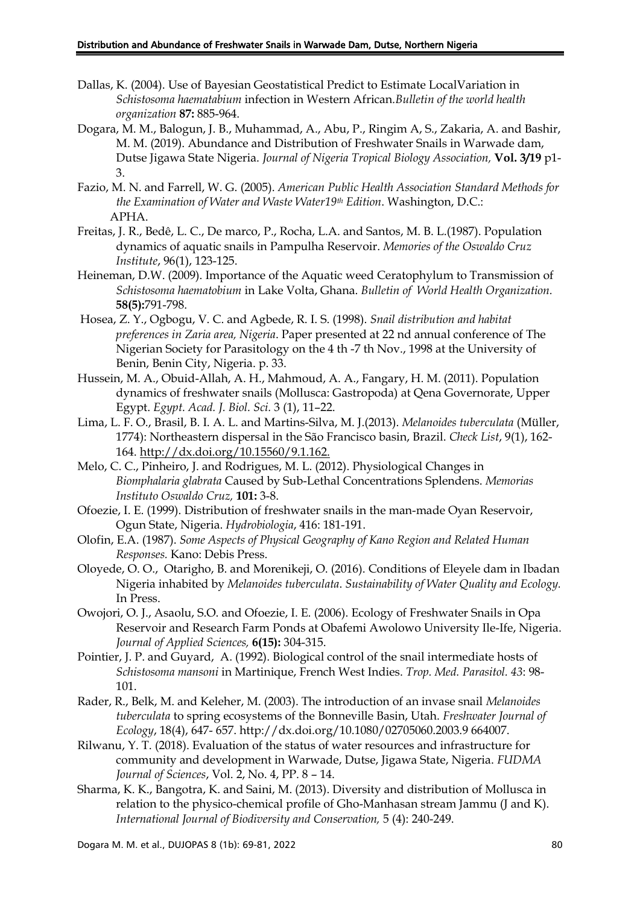- Dallas, K. (2004). Use of Bayesian Geostatistical Predict to Estimate LocalVariation in *Schistosoma haematabium* infection in Western African*.Bulletin of the world health organization* **87:** 885-964.
- Dogara, M. M., Balogun, J. B., Muhammad, A., Abu, P., Ringim A, S., Zakaria, A. and Bashir, M. M. (2019). Abundance and Distribution of Freshwater Snails in Warwade dam, Dutse Jigawa State Nigeria. *Journal of Nigeria Tropical Biology Association,* **Vol. 3/19** p1- 3.
- Fazio, M. N. and Farrell, W. G. (2005). *American Public Health Association Standard Methods for the Examination of Water and Waste Water19th Edition*. Washington, D.C.: APHA.
- Freitas, J. R., Bedê, L. C., De marco, P., Rocha, L.A. and Santos, M. B. L.(1987). Population dynamics of aquatic snails in Pampulha Reservoir. *Memories of the Oswaldo Cruz Institute*, 96(1), 123-125.
- Heineman, D.W. (2009). Importance of the Aquatic weed Ceratophylum to Transmission of *Schistosoma haematobium* in Lake Volta, Ghana. *Bulletin of World Health Organization.*  **58(5):**791-798.
- Hosea, Z. Y., Ogbogu, V. C. and Agbede, R. I. S. (1998). *Snail distribution and habitat preferences in Zaria area, Nigeria*. Paper presented at 22 nd annual conference of The Nigerian Society for Parasitology on the 4 th -7 th Nov., 1998 at the University of Benin, Benin City, Nigeria. p. 33.
- Hussein, M. A., Obuid-Allah, A. H., Mahmoud, A. A., Fangary, H. M. (2011). Population dynamics of freshwater snails (Mollusca: Gastropoda) at Qena Governorate, Upper Egypt. *Egypt. Acad. J. Biol. Sci.* 3 (1), 11–22.
- Lima, L. F. O., Brasil, B. I. A. L. and Martins-Silva, M. J.(2013). *Melanoides tuberculata* (Müller, 1774): Northeastern dispersal in the São Francisco basin, Brazil. *Check List*, 9(1), 162- 164. [http://dx.doi.org/10.15560/9.1.162.](http://dx.doi.org/10.15560/9.1.162)
- Melo, C. C., Pinheiro, J. and Rodrigues, M. L. (2012). Physiological Changes in *Biomphalaria glabrata* Caused by Sub-Lethal Concentrations Splendens. *Memorias Instituto Oswaldo Cruz,* **101:** 3-8.
- Ofoezie, I. E. (1999). Distribution of freshwater snails in the man-made Oyan Reservoir, Ogun State, Nigeria. *Hydrobiologia*, 416: 181-191.
- Olofin, E.A. (1987). *Some Aspects of Physical Geography of Kano Region and Related Human Responses.* Kano: Debis Press.
- Oloyede, O. O., Otarigho, B. and Morenikeji, O. (2016). Conditions of Eleyele dam in Ibadan Nigeria inhabited by *Melanoides tuberculata*. *Sustainability of Water Quality and Ecology.* In Press.
- Owojori, O. J., Asaolu, S.O. and Ofoezie, I. E. (2006). Ecology of Freshwater Snails in Opa Reservoir and Research Farm Ponds at Obafemi Awolowo University Ile-Ife, Nigeria. *Journal of Applied Sciences,* **6(15):** 304-315.
- Pointier, J. P. and Guyard, A. (1992). Biological control of the snail intermediate hosts of *Schistosoma mansoni* in Martinique, French West Indies. *Trop. Med. Parasitol. 43*: 98- 101.
- Rader, R., Belk, M. and Keleher, M. (2003). The introduction of an invase snail *Melanoides tuberculata* to spring ecosystems of the Bonneville Basin, Utah. *Freshwater Journal of Ecology*, 18(4), 647- 657. http://dx.doi.org/10.1080/02705060.2003.9 664007.
- Rilwanu, Y. T. (2018). Evaluation of the status of water resources and infrastructure for community and development in Warwade, Dutse, Jigawa State, Nigeria. *FUDMA Journal of Sciences*, Vol. 2, No. 4, PP. 8 – 14.
- Sharma, K. K., Bangotra, K. and Saini, M. (2013). Diversity and distribution of Mollusca in relation to the physico-chemical profile of Gho-Manhasan stream Jammu (J and K). *International Journal of Biodiversity and Conservation,* 5 (4): 240-249.